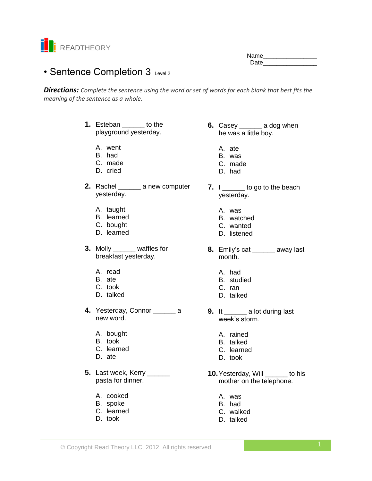

Name\_\_\_\_\_\_\_\_\_\_\_\_\_\_\_\_ Date **Date** 

# • Sentence Completion 3 Level 2

*Directions: Complete the sentence using the word or set of words for each blank that best fits the meaning of the sentence as a whole.*

- **1.** Esteban to the playground yesterday.
	- A. went
	- B. had
	- C. made
	- D. cried
- **2.** Rachel \_\_\_\_\_\_ a new computer yesterday.
	- A. taught
	- B. learned
	- C. bought
	- D. learned
- **3.** Molly \_\_\_\_\_\_ waffles for breakfast yesterday.
	- A. read
	- B. ate
	- C. took
	- D. talked
- **4.** Yesterday, Connor \_\_\_\_\_\_ a new word.
	- A. bought
	- B. took
	- C. learned
	- D. ate
- **5.** Last week, Kerry \_\_\_\_\_\_ pasta for dinner.
	- A. cooked
	- B. spoke
	- C. learned
	- D. took
- **6.** Casey \_\_\_\_\_\_ a dog when he was a little boy.
	- A. ate
	- B. was
	- C. made
	- D. had
- **7.** I \_\_\_\_\_\_ to go to the beach yesterday.
	- A. was
	- B. watched
	- C. wanted
	- D. listened
- **8.** Emily's cat \_\_\_\_\_\_ away last month.
	- A. had
	- B. studied
	- C. ran
	- D. talked
- **9.** It \_\_\_\_\_\_ a lot during last week's storm.
	- A. rained
	- B. talked
	- C. learned
	- D. took
- **10.**Yesterday, Will \_\_\_\_\_\_ to his mother on the telephone.
	- A. was
	- B. had
	- C. walked
	- D. talked